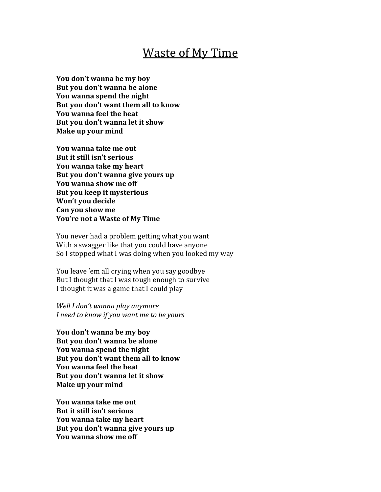## **Waste of My Time**

You don't wanna be my boy But you don't wanna be alone You wanna spend the night But you don't want them all to know **You wanna feel the heat** But you don't wanna let it show **Make up your mind** 

**You wanna take me out But it still isn't serious You wanna take my heart** But you don't wanna give yours up **You wanna show me off But you keep it mysterious Won't you decide Can you show me You're not a Waste of My Time** 

You never had a problem getting what you want With a swagger like that you could have anyone So I stopped what I was doing when you looked my way

You leave 'em all crying when you say goodbye But I thought that I was tough enough to survive I thought it was a game that I could play

*Well I don't wanna play anymore I* need to know if you want me to be yours

**You don't wanna be my boy** But you don't wanna be alone You wanna spend the night But you don't want them all to know **You wanna feel the heat** But you don't wanna let it show **Make up your mind** 

**You wanna take me out But it still isn't serious** You wanna take my heart But you don't wanna give yours up **You wanna show me off**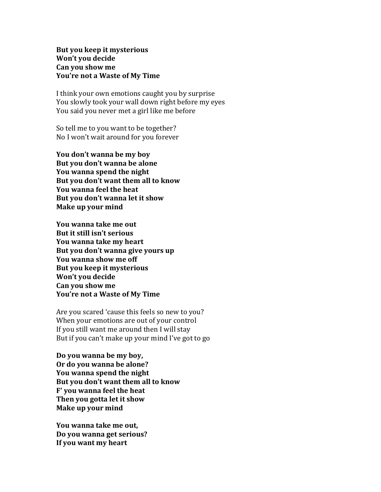**But you keep it mysterious Won't you decide Can you show me You're not a Waste of My Time** 

I think your own emotions caught you by surprise You slowly took your wall down right before my eyes You said you never met a girl like me before

So tell me to you want to be together? No I won't wait around for you forever

**You don't wanna be my boy** But you don't wanna be alone You wanna spend the night But you don't want them all to know You wanna feel the heat But you don't wanna let it show **Make up your mind** 

**You wanna take me out But it still isn't serious You wanna take my heart** But you don't wanna give yours up You wanna show me off **But you keep it mysterious Won't you decide Can you show me You're not a Waste of My Time** 

Are you scared 'cause this feels so new to you? When your emotions are out of your control If you still want me around then I will stay But if you can't make up your mind I've got to go

**Do you wanna be my boy,** Or do you wanna be alone? **You wanna spend the night** But you don't want them all to know **F' you wanna feel the heat Then you gotta let it show Make up your mind** 

**You wanna take me out, Do you wanna get serious? If you want my heart**